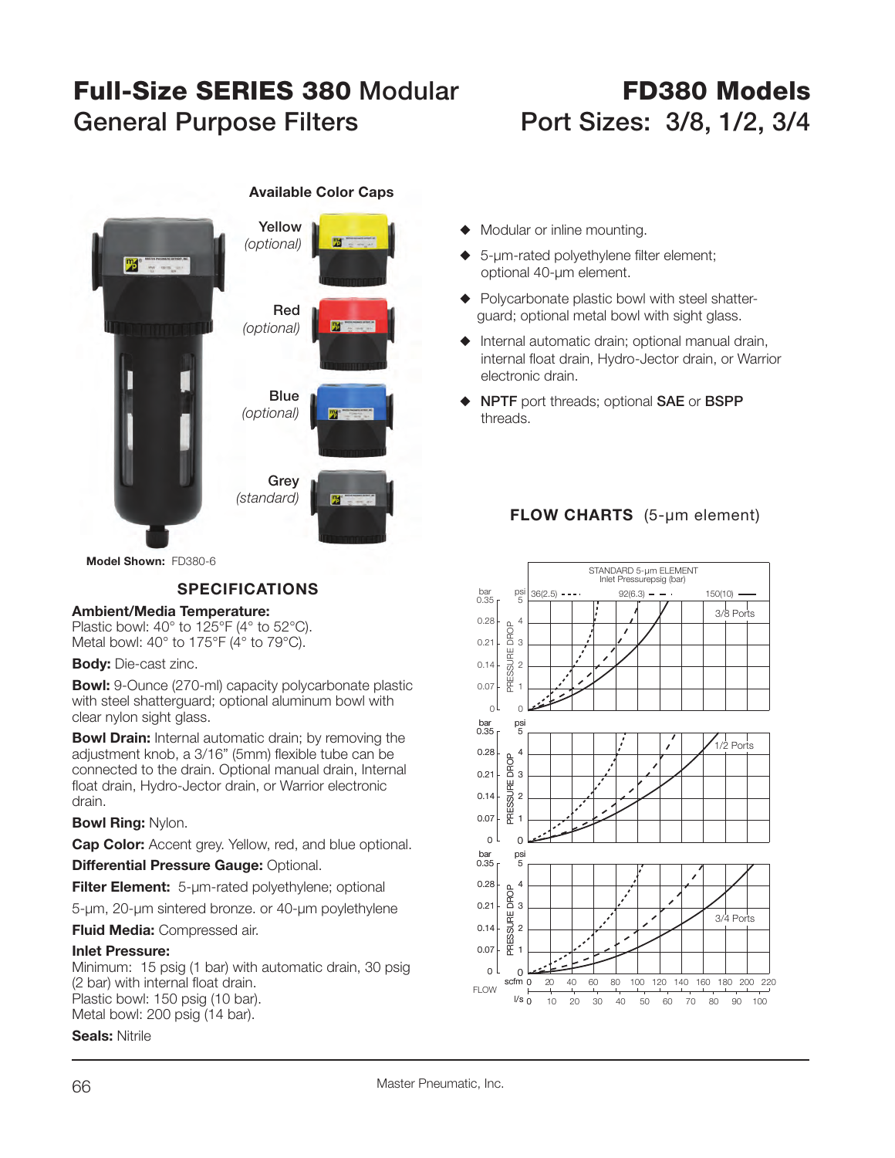# **Full-Size SERIES 380General Purpose Filters Port Sizes: 3/8, 1/2, 3/4**

# **FD380 Models**



**Available Color Caps**

- $\blacklozenge$  Modular or inline mounting.
- $\triangle$  5-µm-rated polyethylene filter element; optional 40-µm element.
- $\blacklozenge$  Polycarbonate plastic bowl with steel shatterguard; optional metal bowl with sight glass.
- $\blacklozenge$  Internal automatic drain; optional manual drain, internal float drain, Hydro-Jector drain, or Warrior electronic drain.
- ◆ **NPTF** port threads; optional **SAE** or **BSPP** threads.

## **FLOW CHARTS** (5-µm element)



**Model Shown:** FD380-6

### **SPECIFICATIONS**

#### **Ambient/Media Temperature:**

Plastic bowl: 40° to 125°F (4° to 52°C). Metal bowl: 40° to 175°F (4° to 79°C).

#### **Body:** Die-cast zinc.

**Bowl:** 9-Ounce (270-ml) capacity polycarbonate plastic with steel shatterguard; optional aluminum bowl with clear nylon sight glass.

**Bowl Drain:** Internal automatic drain; by removing the adjustment knob, a 3/16" (5mm) flexible tube can be connected to the drain. Optional manual drain, Internal float drain, Hydro-Jector drain, or Warrior electronic drain.

**Bowl Ring:** Nylon.

**Cap Color:** Accent grey. Yellow, red, and blue optional.

**Differential Pressure Gauge: Optional.** 

**Filter Element:** 5-µm-rated polyethylene; optional

5-µm, 20-µm sintered bronze. or 40-µm poylethylene

**Fluid Media:** Compressed air.

#### **Inlet Pressure:**

Minimum: 15 psig (1 bar) with automatic drain, 30 psig (2 bar) with internal float drain. Plastic bowl: 150 psig (10 bar). Metal bowl: 200 psig (14 bar).

**Seals:** Nitrile